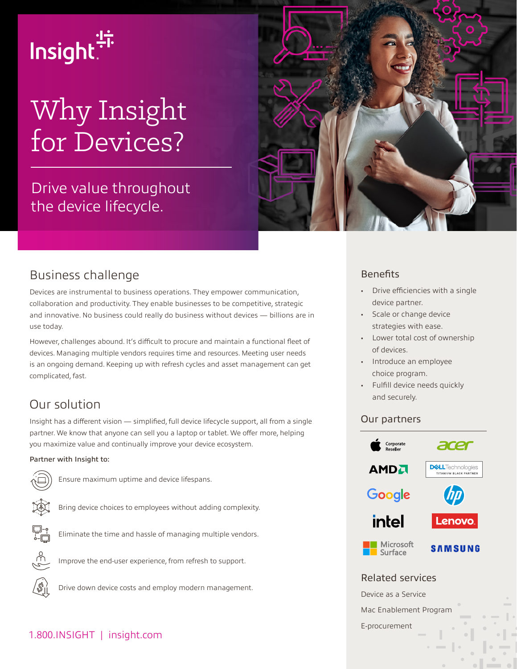

# Why Insight for Devices?

Drive value throughout the device lifecycle.



Devices are instrumental to business operations. They empower communication, collaboration and productivity. They enable businesses to be competitive, strategic and innovative. No business could really do business without devices — billions are in use today.

However, challenges abound. It's difficult to procure and maintain a functional fleet of devices. Managing multiple vendors requires time and resources. Meeting user needs is an ongoing demand. Keeping up with refresh cycles and asset management can get complicated, fast.

## Our solution

Insight has a different vision — simplified, full device lifecycle support, all from a single partner. We know that anyone can sell you a laptop or tablet. We offer more, helping you maximize value and continually improve your device ecosystem.

#### Partner with Insight to:



Ensure maximum uptime and device lifespans.





Bring device choices to employees without adding complexity. Eliminate the time and hassle of managing multiple vendors.





Improve the end-user experience, from refresh to support.

 $\mathscr{S}$ 

Drive down device costs and employ modern management.

#### 1.800.INSIGHT | insight.com



### **Benefits**

- Drive efficiencies with a single device partner.
- Scale or change device strategies with ease.
- Lower total cost of ownership of devices.
- Introduce an employee choice program.
- Fulfill device needs quickly and securely.

#### Our partners



Related services

Device as a Service

Mac Enablement Program

E-procurement